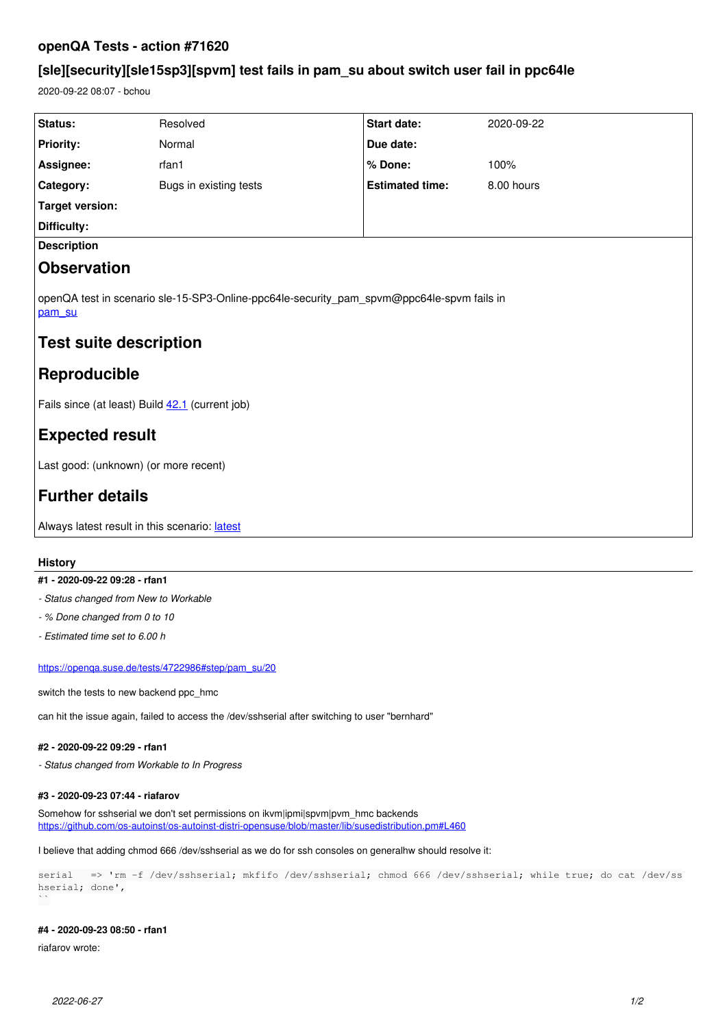# **openQA Tests - action #71620**

# **[sle][security][sle15sp3][spvm] test fails in pam\_su about switch user fail in ppc64le**

2020-09-22 08:07 - bchou

| Status:                                                                                             | Resolved               | Start date:            | 2020-09-22 |
|-----------------------------------------------------------------------------------------------------|------------------------|------------------------|------------|
| <b>Priority:</b>                                                                                    | Normal                 | Due date:              |            |
| Assignee:                                                                                           | rfan1                  | % Done:                | 100%       |
| Category:                                                                                           | Bugs in existing tests | <b>Estimated time:</b> | 8.00 hours |
| <b>Target version:</b>                                                                              |                        |                        |            |
| Difficulty:                                                                                         |                        |                        |            |
| <b>Description</b>                                                                                  |                        |                        |            |
| <b>Observation</b>                                                                                  |                        |                        |            |
| openQA test in scenario sle-15-SP3-Online-ppc64le-security_pam_spvm@ppc64le-spvm fails in<br>pam su |                        |                        |            |
| <b>Test suite description</b>                                                                       |                        |                        |            |
| Reproducible                                                                                        |                        |                        |            |
| Fails since (at least) Build 42.1 (current job)                                                     |                        |                        |            |
| <b>Expected result</b>                                                                              |                        |                        |            |
| Last good: (unknown) (or more recent)                                                               |                        |                        |            |
| <b>Further details</b>                                                                              |                        |                        |            |
| Always latest result in this scenario: latest                                                       |                        |                        |            |

## **History**

## **#1 - 2020-09-22 09:28 - rfan1**

- *Status changed from New to Workable*
- *% Done changed from 0 to 10*
- *Estimated time set to 6.00 h*

### [https://openqa.suse.de/tests/4722986#step/pam\\_su/20](https://openqa.suse.de/tests/4722986#step/pam_su/20)

switch the tests to new backend ppc\_hmc

can hit the issue again, failed to access the /dev/sshserial after switching to user "bernhard"

### **#2 - 2020-09-22 09:29 - rfan1**

*- Status changed from Workable to In Progress*

### **#3 - 2020-09-23 07:44 - riafarov**

Somehow for sshserial we don't set permissions on ikvm|ipmi|spvm|pvm\_hmc backends <https://github.com/os-autoinst/os-autoinst-distri-opensuse/blob/master/lib/susedistribution.pm#L460>

I believe that adding chmod 666 /dev/sshserial as we do for ssh consoles on generalhw should resolve it:

serial => 'rm -f /dev/sshserial; mkfifo /dev/sshserial; chmod 666 /dev/sshserial; while true; do cat /dev/ss hserial; done',  $\ddot{\phantom{0}}$ 

### **#4 - 2020-09-23 08:50 - rfan1**

riafarov wrote: